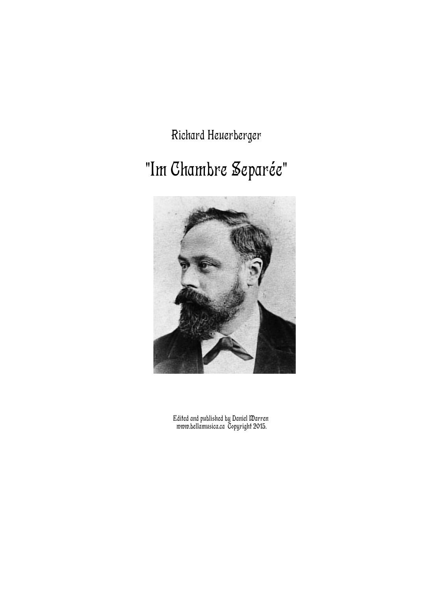Richard Heuerberger

## "Im Chambre Separée"



Edited and published by Daniel Warren www.bellamusica.ca Copyright 2015.